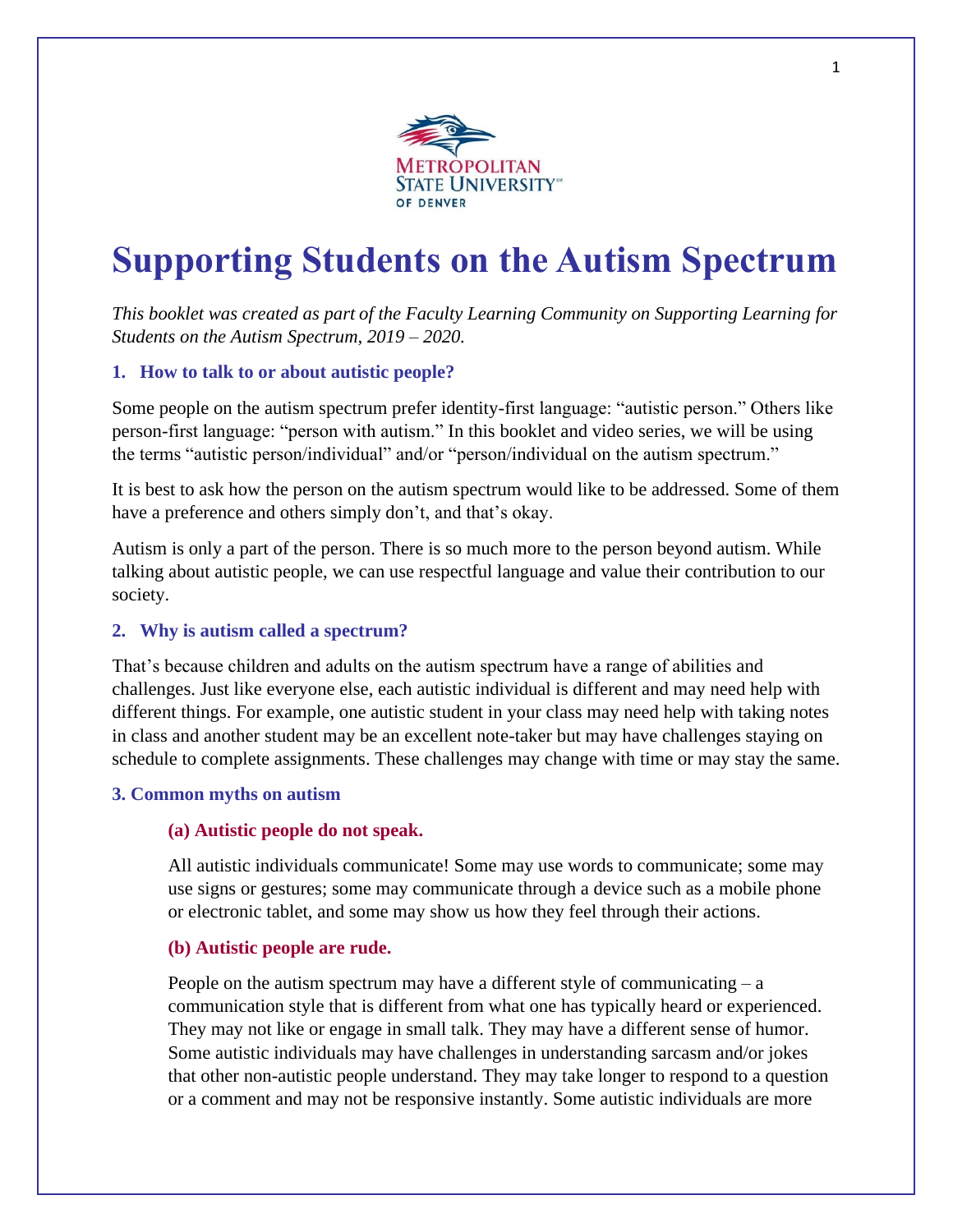

# **Supporting Students on the Autism Spectrum**

*This booklet was created as part of the Faculty Learning Community on Supporting Learning for Students on the Autism Spectrum, 2019 – 2020.* 

# **1. How to talk to or about autistic people?**

Some people on the autism spectrum prefer identity-first language: "autistic person." Others like person-first language: "person with autism." In this booklet and video series, we will be using the terms "autistic person/individual" and/or "person/individual on the autism spectrum."

It is best to ask how the person on the autism spectrum would like to be addressed. Some of them have a preference and others simply don't, and that's okay.

Autism is only a part of the person. There is so much more to the person beyond autism. While talking about autistic people, we can use respectful language and value their contribution to our society.

# **2. Why is autism called a spectrum?**

That's because children and adults on the autism spectrum have a range of abilities and challenges. Just like everyone else, each autistic individual is different and may need help with different things. For example, one autistic student in your class may need help with taking notes in class and another student may be an excellent note-taker but may have challenges staying on schedule to complete assignments. These challenges may change with time or may stay the same.

# **3. Common myths on autism**

# **(a) Autistic people do not speak.**

All autistic individuals communicate! Some may use words to communicate; some may use signs or gestures; some may communicate through a device such as a mobile phone or electronic tablet, and some may show us how they feel through their actions.

# **(b) Autistic people are rude.**

People on the autism spectrum may have a different style of communicating  $- a$ communication style that is different from what one has typically heard or experienced. They may not like or engage in small talk. They may have a different sense of humor. Some autistic individuals may have challenges in understanding sarcasm and/or jokes that other non-autistic people understand. They may take longer to respond to a question or a comment and may not be responsive instantly. Some autistic individuals are more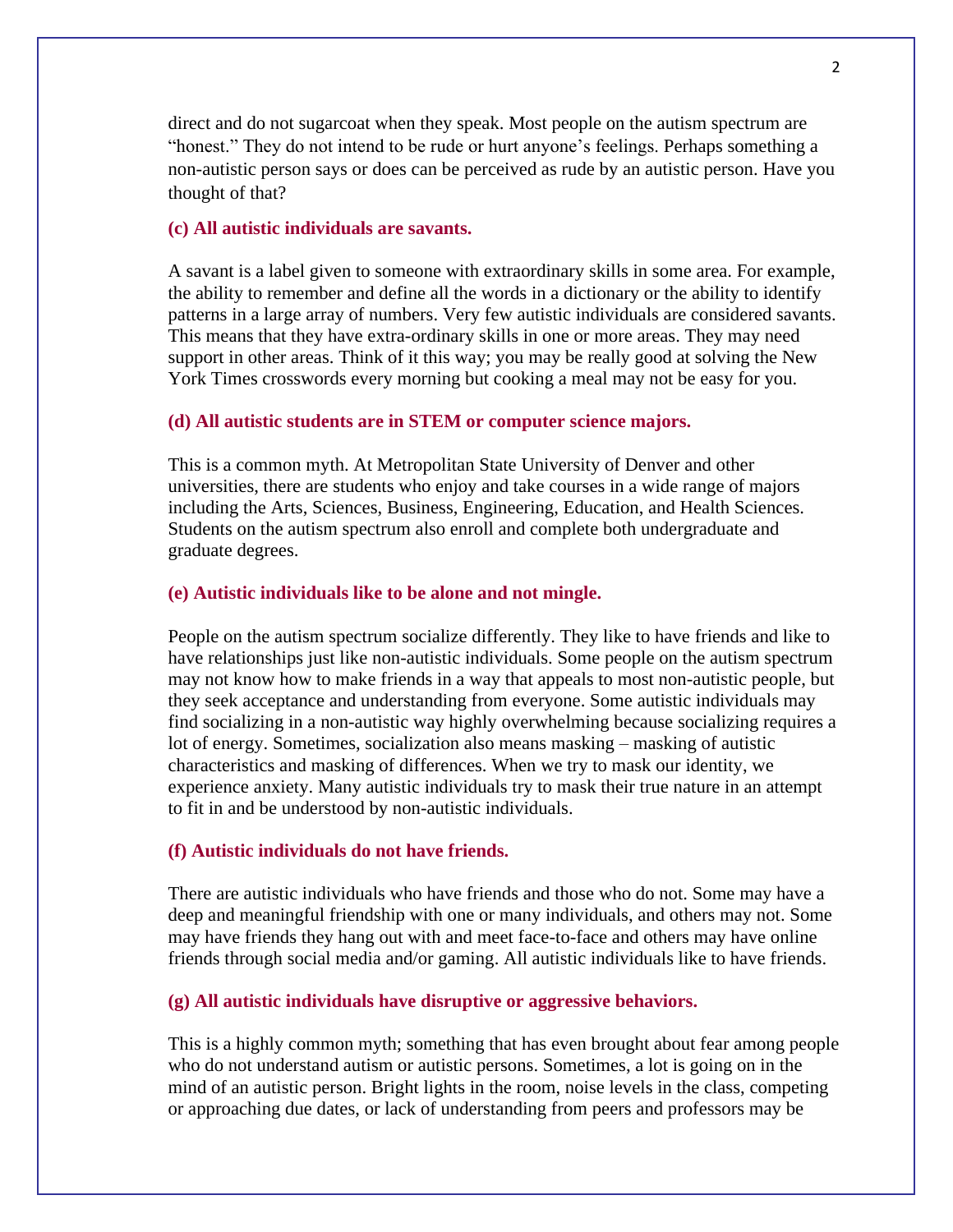direct and do not sugarcoat when they speak. Most people on the autism spectrum are "honest." They do not intend to be rude or hurt anyone's feelings. Perhaps something a non-autistic person says or does can be perceived as rude by an autistic person. Have you thought of that?

## **(c) All autistic individuals are savants.**

A savant is a label given to someone with extraordinary skills in some area. For example, the ability to remember and define all the words in a dictionary or the ability to identify patterns in a large array of numbers. Very few autistic individuals are considered savants. This means that they have extra-ordinary skills in one or more areas. They may need support in other areas. Think of it this way; you may be really good at solving the New York Times crosswords every morning but cooking a meal may not be easy for you.

### **(d) All autistic students are in STEM or computer science majors.**

This is a common myth. At Metropolitan State University of Denver and other universities, there are students who enjoy and take courses in a wide range of majors including the Arts, Sciences, Business, Engineering, Education, and Health Sciences. Students on the autism spectrum also enroll and complete both undergraduate and graduate degrees.

#### **(e) Autistic individuals like to be alone and not mingle.**

People on the autism spectrum socialize differently. They like to have friends and like to have relationships just like non-autistic individuals. Some people on the autism spectrum may not know how to make friends in a way that appeals to most non-autistic people, but they seek acceptance and understanding from everyone. Some autistic individuals may find socializing in a non-autistic way highly overwhelming because socializing requires a lot of energy. Sometimes, socialization also means masking – masking of autistic characteristics and masking of differences. When we try to mask our identity, we experience anxiety. Many autistic individuals try to mask their true nature in an attempt to fit in and be understood by non-autistic individuals.

#### **(f) Autistic individuals do not have friends.**

There are autistic individuals who have friends and those who do not. Some may have a deep and meaningful friendship with one or many individuals, and others may not. Some may have friends they hang out with and meet face-to-face and others may have online friends through social media and/or gaming. All autistic individuals like to have friends.

#### **(g) All autistic individuals have disruptive or aggressive behaviors.**

This is a highly common myth; something that has even brought about fear among people who do not understand autism or autistic persons. Sometimes, a lot is going on in the mind of an autistic person. Bright lights in the room, noise levels in the class, competing or approaching due dates, or lack of understanding from peers and professors may be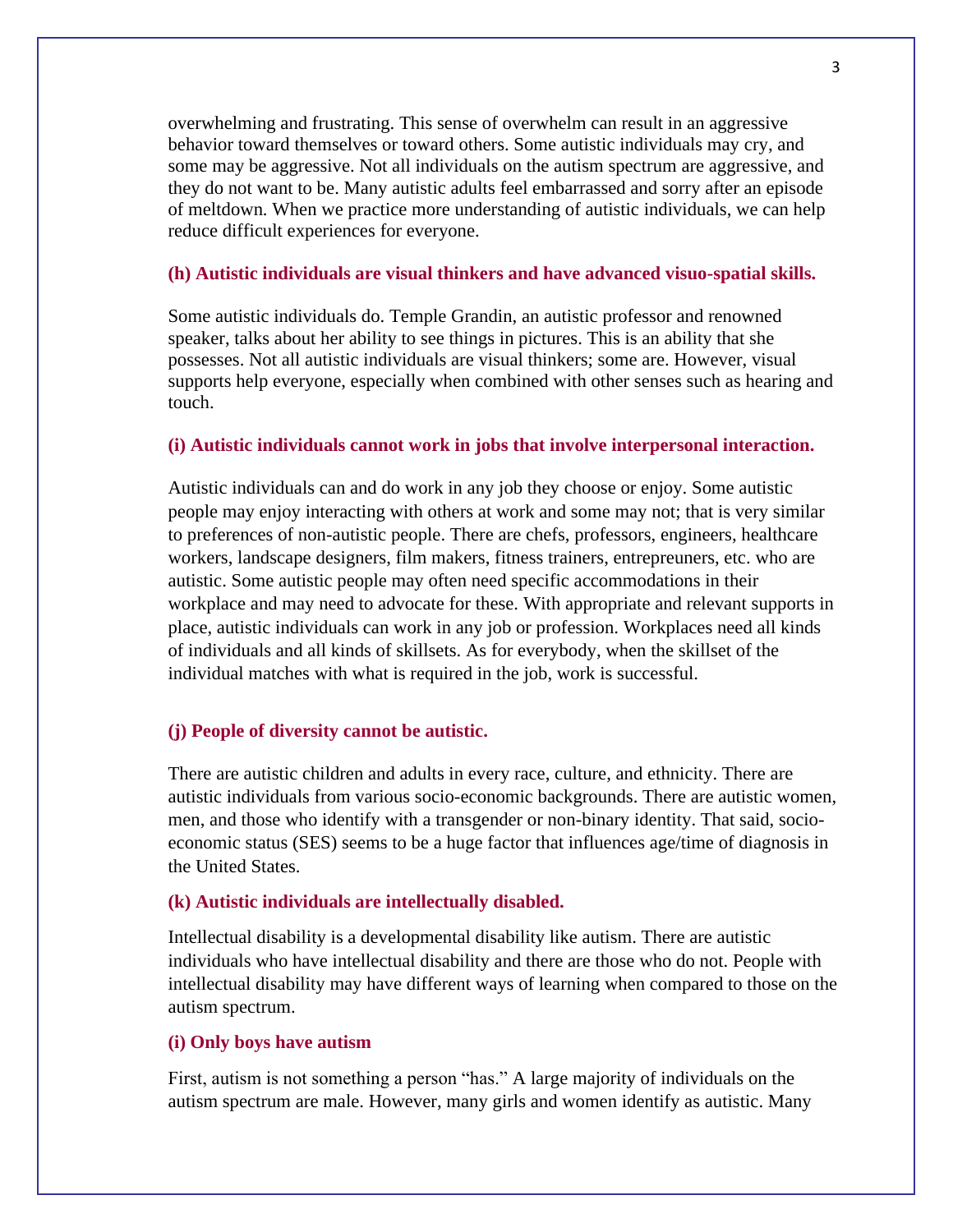overwhelming and frustrating. This sense of overwhelm can result in an aggressive behavior toward themselves or toward others. Some autistic individuals may cry, and some may be aggressive. Not all individuals on the autism spectrum are aggressive, and they do not want to be. Many autistic adults feel embarrassed and sorry after an episode of meltdown. When we practice more understanding of autistic individuals, we can help reduce difficult experiences for everyone.

## **(h) Autistic individuals are visual thinkers and have advanced visuo-spatial skills.**

Some autistic individuals do. Temple Grandin, an autistic professor and renowned speaker, talks about her ability to see things in pictures. This is an ability that she possesses. Not all autistic individuals are visual thinkers; some are. However, visual supports help everyone, especially when combined with other senses such as hearing and touch.

#### **(i) Autistic individuals cannot work in jobs that involve interpersonal interaction.**

Autistic individuals can and do work in any job they choose or enjoy. Some autistic people may enjoy interacting with others at work and some may not; that is very similar to preferences of non-autistic people. There are chefs, professors, engineers, healthcare workers, landscape designers, film makers, fitness trainers, entrepreuners, etc. who are autistic. Some autistic people may often need specific accommodations in their workplace and may need to advocate for these. With appropriate and relevant supports in place, autistic individuals can work in any job or profession. Workplaces need all kinds of individuals and all kinds of skillsets. As for everybody, when the skillset of the individual matches with what is required in the job, work is successful.

#### **(j) People of diversity cannot be autistic.**

There are autistic children and adults in every race, culture, and ethnicity. There are autistic individuals from various socio-economic backgrounds. There are autistic women, men, and those who identify with a transgender or non-binary identity. That said, socioeconomic status (SES) seems to be a huge factor that influences age/time of diagnosis in the United States.

#### **(k) Autistic individuals are intellectually disabled.**

Intellectual disability is a developmental disability like autism. There are autistic individuals who have intellectual disability and there are those who do not. People with intellectual disability may have different ways of learning when compared to those on the autism spectrum.

## **(i) Only boys have autism**

First, autism is not something a person "has." A large majority of individuals on the autism spectrum are male. However, many girls and women identify as autistic. Many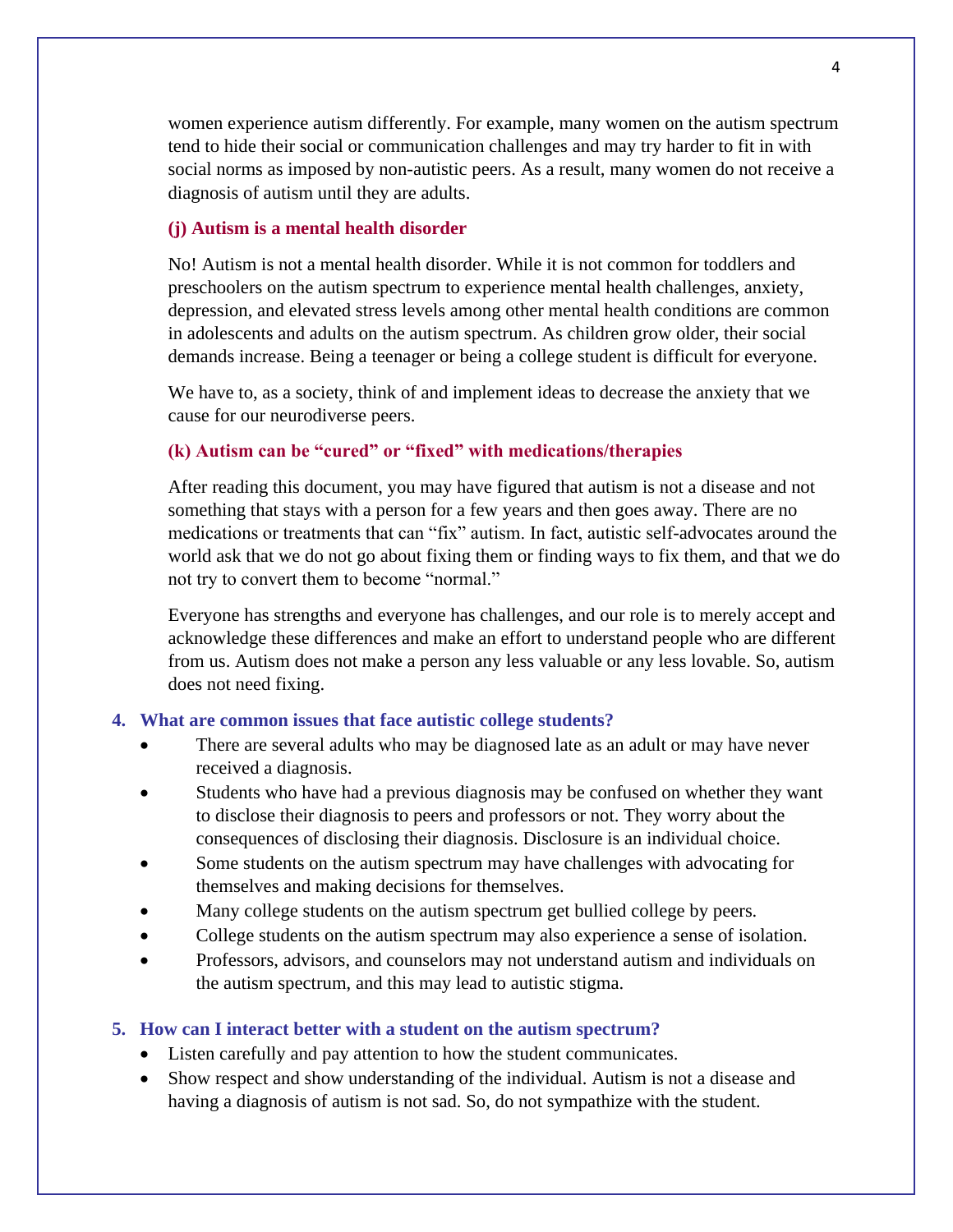women experience autism differently. For example, many women on the autism spectrum tend to hide their social or communication challenges and may try harder to fit in with social norms as imposed by non-autistic peers. As a result, many women do not receive a diagnosis of autism until they are adults.

## **(j) Autism is a mental health disorder**

No! Autism is not a mental health disorder. While it is not common for toddlers and preschoolers on the autism spectrum to experience mental health challenges, anxiety, depression, and elevated stress levels among other mental health conditions are common in adolescents and adults on the autism spectrum. As children grow older, their social demands increase. Being a teenager or being a college student is difficult for everyone.

We have to, as a society, think of and implement ideas to decrease the anxiety that we cause for our neurodiverse peers.

## **(k) Autism can be "cured" or "fixed" with medications/therapies**

After reading this document, you may have figured that autism is not a disease and not something that stays with a person for a few years and then goes away. There are no medications or treatments that can "fix" autism. In fact, autistic self-advocates around the world ask that we do not go about fixing them or finding ways to fix them, and that we do not try to convert them to become "normal."

Everyone has strengths and everyone has challenges, and our role is to merely accept and acknowledge these differences and make an effort to understand people who are different from us. Autism does not make a person any less valuable or any less lovable. So, autism does not need fixing.

## **4. What are common issues that face autistic college students?**

- There are several adults who may be diagnosed late as an adult or may have never received a diagnosis.
- Students who have had a previous diagnosis may be confused on whether they want to disclose their diagnosis to peers and professors or not. They worry about the consequences of disclosing their diagnosis. Disclosure is an individual choice.
- Some students on the autism spectrum may have challenges with advocating for themselves and making decisions for themselves.
- Many college students on the autism spectrum get bullied college by peers.
- College students on the autism spectrum may also experience a sense of isolation.
- Professors, advisors, and counselors may not understand autism and individuals on the autism spectrum, and this may lead to autistic stigma.

#### **5. How can I interact better with a student on the autism spectrum?**

- Listen carefully and pay attention to how the student communicates.
- Show respect and show understanding of the individual. Autism is not a disease and having a diagnosis of autism is not sad. So, do not sympathize with the student.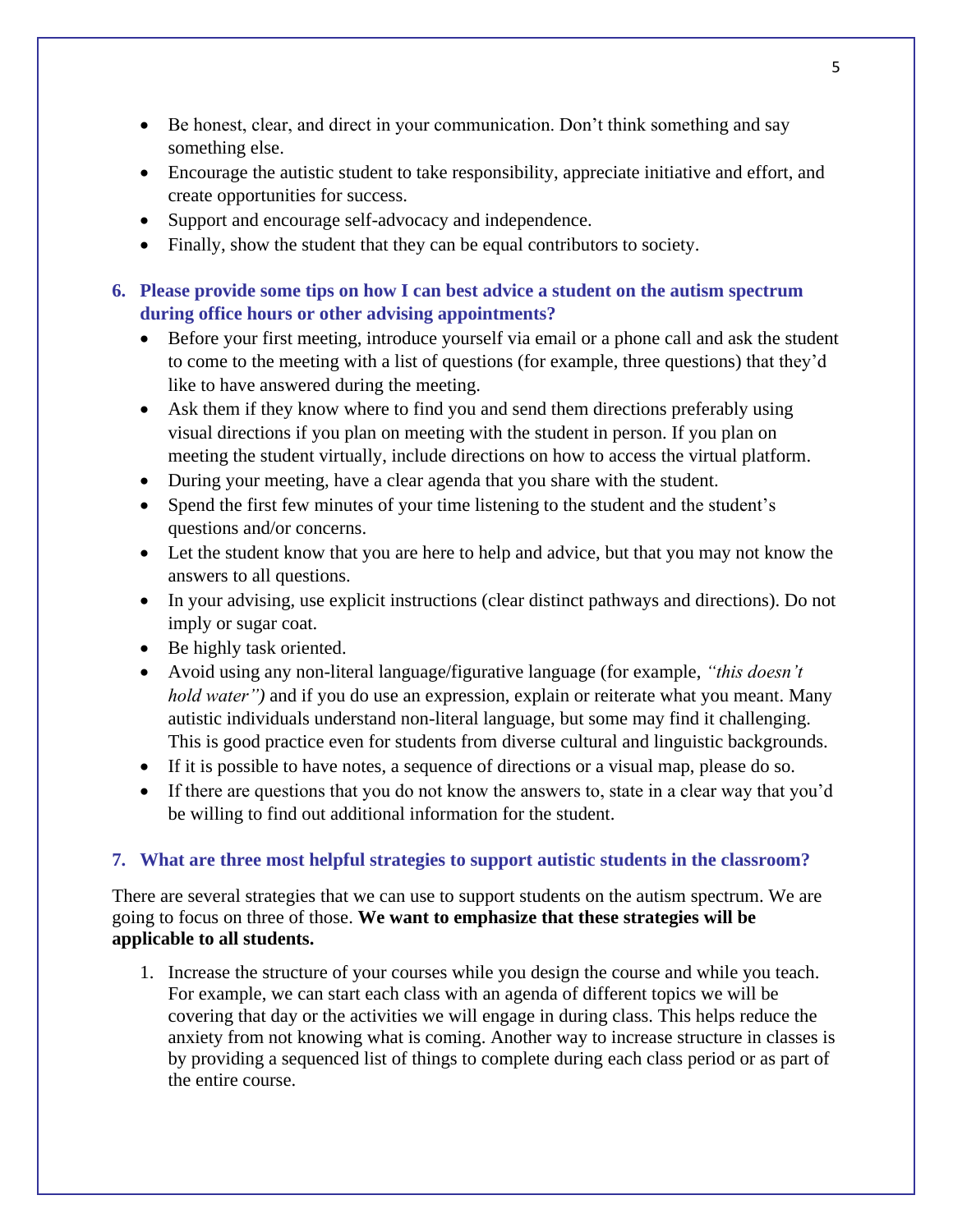- Be honest, clear, and direct in your communication. Don't think something and say something else.
- Encourage the autistic student to take responsibility, appreciate initiative and effort, and create opportunities for success.
- Support and encourage self-advocacy and independence.
- Finally, show the student that they can be equal contributors to society.

# **6. Please provide some tips on how I can best advice a student on the autism spectrum during office hours or other advising appointments?**

- Before your first meeting, introduce yourself via email or a phone call and ask the student to come to the meeting with a list of questions (for example, three questions) that they'd like to have answered during the meeting.
- Ask them if they know where to find you and send them directions preferably using visual directions if you plan on meeting with the student in person. If you plan on meeting the student virtually, include directions on how to access the virtual platform.
- During your meeting, have a clear agenda that you share with the student.
- Spend the first few minutes of your time listening to the student and the student's questions and/or concerns.
- Let the student know that you are here to help and advice, but that you may not know the answers to all questions.
- In your advising, use explicit instructions (clear distinct pathways and directions). Do not imply or sugar coat.
- Be highly task oriented.
- Avoid using any non-literal language/figurative language (for example, *"this doesn't hold water"*) and if you do use an expression, explain or reiterate what you meant. Many autistic individuals understand non-literal language, but some may find it challenging. This is good practice even for students from diverse cultural and linguistic backgrounds.
- If it is possible to have notes, a sequence of directions or a visual map, please do so.
- If there are questions that you do not know the answers to, state in a clear way that you'd be willing to find out additional information for the student.

# **7. What are three most helpful strategies to support autistic students in the classroom?**

There are several strategies that we can use to support students on the autism spectrum. We are going to focus on three of those. **We want to emphasize that these strategies will be applicable to all students.**

1. Increase the structure of your courses while you design the course and while you teach. For example, we can start each class with an agenda of different topics we will be covering that day or the activities we will engage in during class. This helps reduce the anxiety from not knowing what is coming. Another way to increase structure in classes is by providing a sequenced list of things to complete during each class period or as part of the entire course.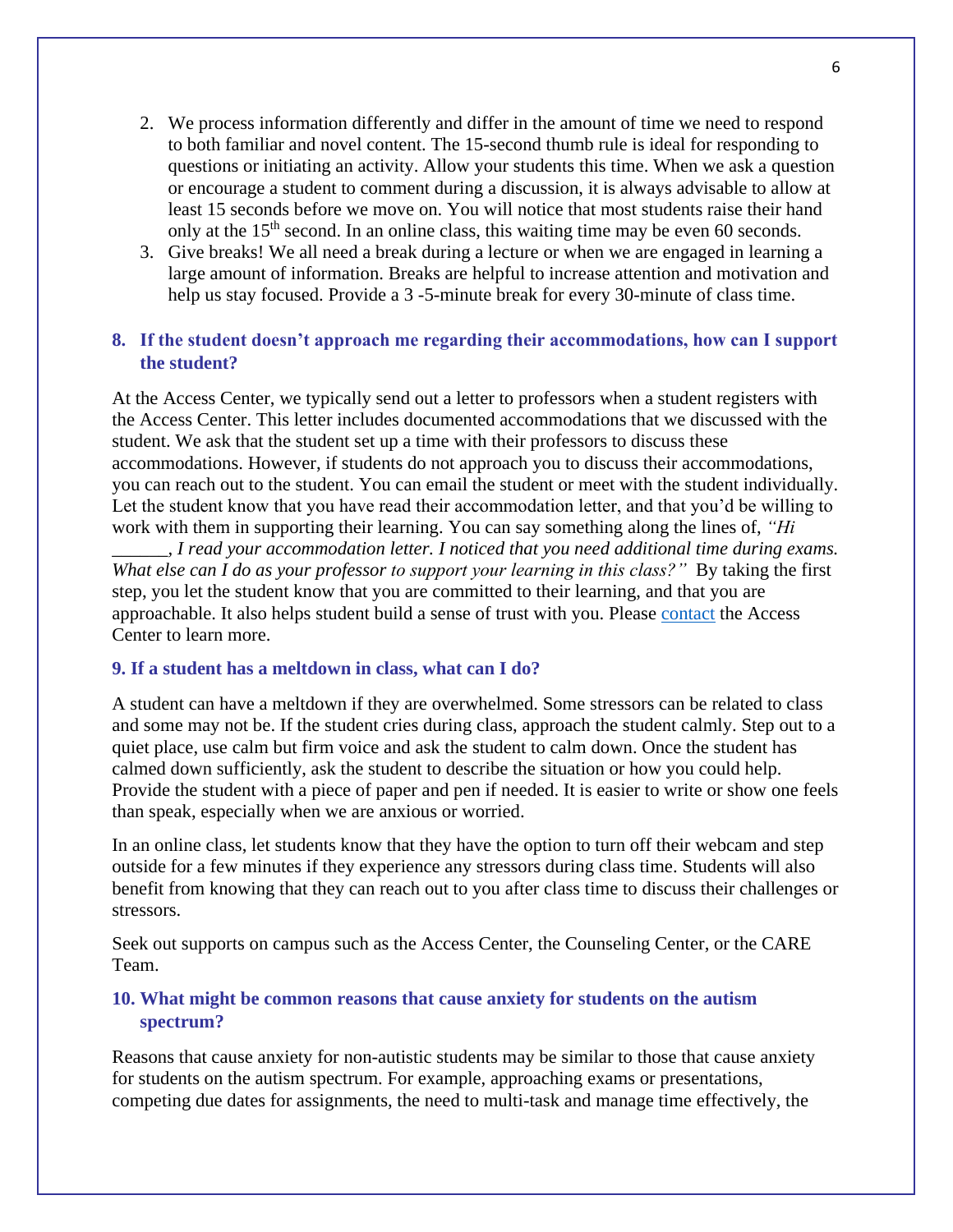- 2. We process information differently and differ in the amount of time we need to respond to both familiar and novel content. The 15-second thumb rule is ideal for responding to questions or initiating an activity. Allow your students this time. When we ask a question or encourage a student to comment during a discussion, it is always advisable to allow at least 15 seconds before we move on. You will notice that most students raise their hand only at the 15<sup>th</sup> second. In an online class, this waiting time may be even 60 seconds.
- 3. Give breaks! We all need a break during a lecture or when we are engaged in learning a large amount of information. Breaks are helpful to increase attention and motivation and help us stay focused. Provide a 3-5-minute break for every 30-minute of class time.

## **8. If the student doesn't approach me regarding their accommodations, how can I support the student?**

At the Access Center, we typically send out a letter to professors when a student registers with the Access Center. This letter includes documented accommodations that we discussed with the student. We ask that the student set up a time with their professors to discuss these accommodations. However, if students do not approach you to discuss their accommodations, you can reach out to the student. You can email the student or meet with the student individually. Let the student know that you have read their accommodation letter, and that you'd be willing to work with them in supporting their learning. You can say something along the lines of, *"Hi* 

*\_\_\_\_\_\_, I read your accommodation letter. I noticed that you need additional time during exams. What else can I do as your professor to support your learning in this class?"* By taking the first step, you let the student know that you are committed to their learning, and that you are approachable. It also helps student build a sense of trust with you. Please [contact](mailto:accesscenter@msudenver.edu) the Access Center to learn more.

#### **9. If a student has a meltdown in class, what can I do?**

A student can have a meltdown if they are overwhelmed. Some stressors can be related to class and some may not be. If the student cries during class, approach the student calmly. Step out to a quiet place, use calm but firm voice and ask the student to calm down. Once the student has calmed down sufficiently, ask the student to describe the situation or how you could help. Provide the student with a piece of paper and pen if needed. It is easier to write or show one feels than speak, especially when we are anxious or worried.

In an online class, let students know that they have the option to turn off their webcam and step outside for a few minutes if they experience any stressors during class time. Students will also benefit from knowing that they can reach out to you after class time to discuss their challenges or stressors.

Seek out supports on campus such as the Access Center, the Counseling Center, or the CARE Team.

## **10. What might be common reasons that cause anxiety for students on the autism spectrum?**

Reasons that cause anxiety for non-autistic students may be similar to those that cause anxiety for students on the autism spectrum. For example, approaching exams or presentations, competing due dates for assignments, the need to multi-task and manage time effectively, the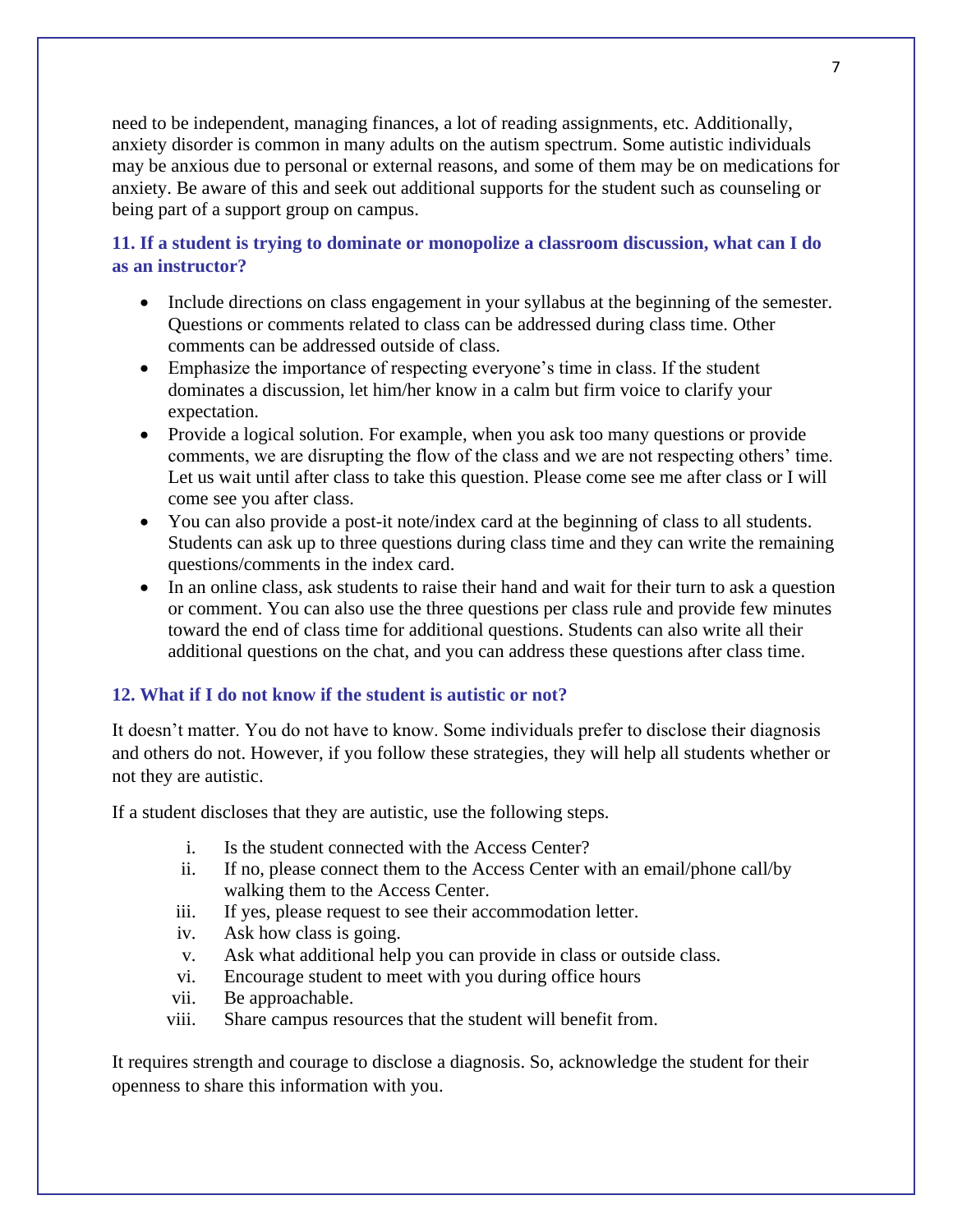need to be independent, managing finances, a lot of reading assignments, etc. Additionally, anxiety disorder is common in many adults on the autism spectrum. Some autistic individuals may be anxious due to personal or external reasons, and some of them may be on medications for anxiety. Be aware of this and seek out additional supports for the student such as counseling or being part of a support group on campus.

# **11. If a student is trying to dominate or monopolize a classroom discussion, what can I do as an instructor?**

- Include directions on class engagement in your syllabus at the beginning of the semester. Questions or comments related to class can be addressed during class time. Other comments can be addressed outside of class.
- Emphasize the importance of respecting everyone's time in class. If the student dominates a discussion, let him/her know in a calm but firm voice to clarify your expectation.
- Provide a logical solution. For example, when you ask too many questions or provide comments, we are disrupting the flow of the class and we are not respecting others' time. Let us wait until after class to take this question. Please come see me after class or I will come see you after class.
- You can also provide a post-it note/index card at the beginning of class to all students. Students can ask up to three questions during class time and they can write the remaining questions/comments in the index card.
- In an online class, ask students to raise their hand and wait for their turn to ask a question or comment. You can also use the three questions per class rule and provide few minutes toward the end of class time for additional questions. Students can also write all their additional questions on the chat, and you can address these questions after class time.

# **12. What if I do not know if the student is autistic or not?**

It doesn't matter. You do not have to know. Some individuals prefer to disclose their diagnosis and others do not. However, if you follow these strategies, they will help all students whether or not they are autistic.

If a student discloses that they are autistic, use the following steps.

- i. Is the student connected with the Access Center?
- ii. If no, please connect them to the Access Center with an email/phone call/by walking them to the Access Center.
- iii. If yes, please request to see their accommodation letter.
- iv. Ask how class is going.
- v. Ask what additional help you can provide in class or outside class.
- vi. Encourage student to meet with you during office hours
- vii. Be approachable.
- viii. Share campus resources that the student will benefit from.

It requires strength and courage to disclose a diagnosis. So, acknowledge the student for their openness to share this information with you.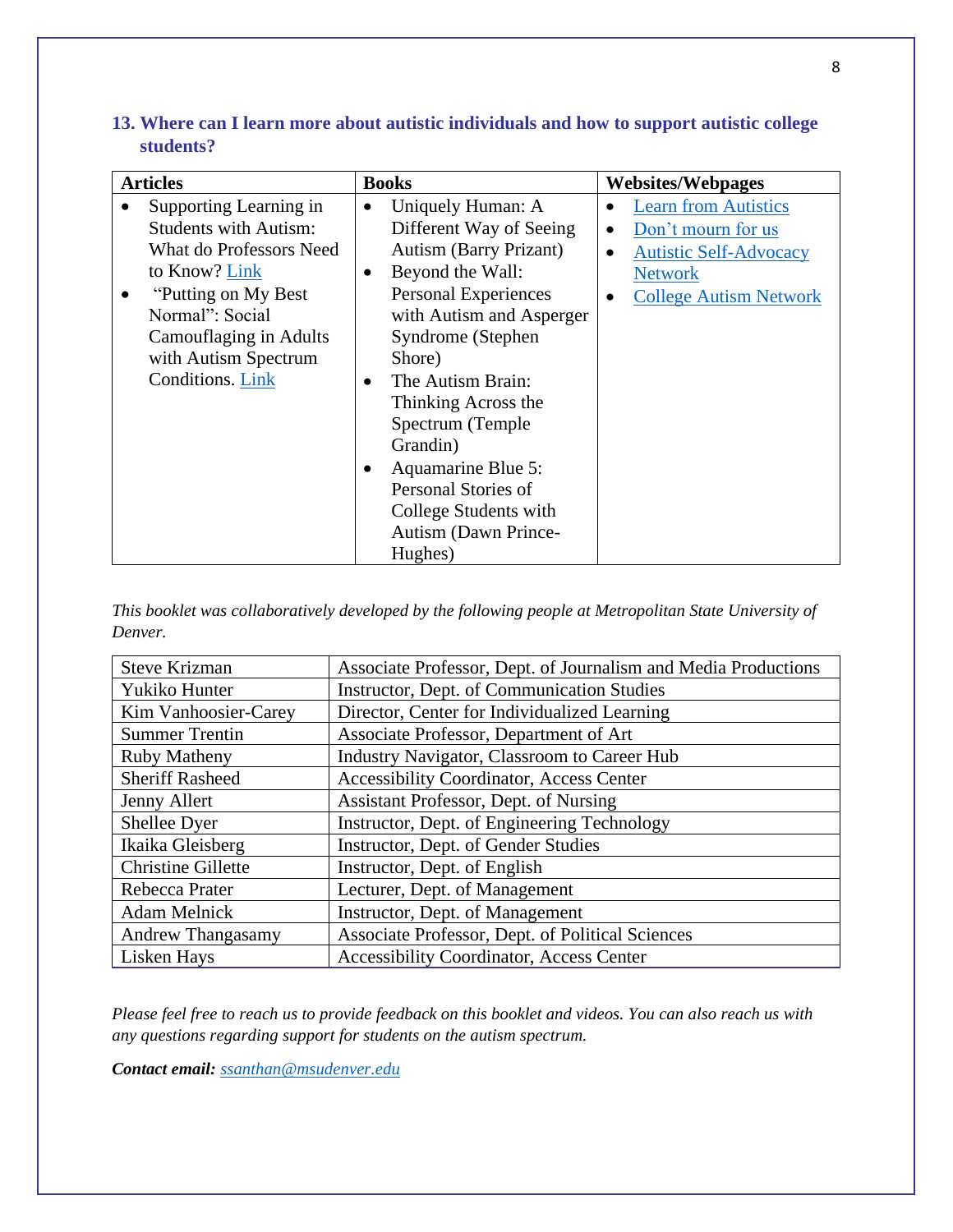| 13. Where can I learn more about autistic individuals and how to support autistic college |  |  |
|-------------------------------------------------------------------------------------------|--|--|
| students?                                                                                 |  |  |

| <b>Articles</b> |                              | <b>Books</b> |                               | <b>Websites/Webpages</b> |                               |
|-----------------|------------------------------|--------------|-------------------------------|--------------------------|-------------------------------|
|                 | Supporting Learning in       | $\bullet$    | Uniquely Human: A             |                          | <b>Learn from Autistics</b>   |
|                 | <b>Students with Autism:</b> |              | Different Way of Seeing       | $\bullet$                | Don't mourn for us            |
|                 | What do Professors Need      |              | <b>Autism (Barry Prizant)</b> |                          | <b>Autistic Self-Advocacy</b> |
|                 | to Know? Link                | ٠            | Beyond the Wall:              |                          | <b>Network</b>                |
|                 | "Putting on My Best"         |              | Personal Experiences          |                          | <b>College Autism Network</b> |
|                 | Normal": Social              |              | with Autism and Asperger      |                          |                               |
|                 | Camouflaging in Adults       |              | Syndrome (Stephen             |                          |                               |
|                 | with Autism Spectrum         |              | Shore)                        |                          |                               |
|                 | Conditions. Link             | $\bullet$    | The Autism Brain:             |                          |                               |
|                 |                              |              | Thinking Across the           |                          |                               |
|                 |                              |              | Spectrum (Temple)             |                          |                               |
|                 |                              |              | Grandin)                      |                          |                               |
|                 |                              | ٠            | Aquamarine Blue 5:            |                          |                               |
|                 |                              |              | Personal Stories of           |                          |                               |
|                 |                              |              | College Students with         |                          |                               |
|                 |                              |              | Autism (Dawn Prince-          |                          |                               |
|                 |                              |              | Hughes)                       |                          |                               |

*This booklet was collaboratively developed by the following people at Metropolitan State University of Denver.*

| <b>Steve Krizman</b>      | Associate Professor, Dept. of Journalism and Media Productions |  |  |  |
|---------------------------|----------------------------------------------------------------|--|--|--|
| Yukiko Hunter             | Instructor, Dept. of Communication Studies                     |  |  |  |
| Kim Vanhoosier-Carey      | Director, Center for Individualized Learning                   |  |  |  |
| <b>Summer Trentin</b>     | Associate Professor, Department of Art                         |  |  |  |
| <b>Ruby Matheny</b>       | Industry Navigator, Classroom to Career Hub                    |  |  |  |
| <b>Sheriff Rasheed</b>    | <b>Accessibility Coordinator, Access Center</b>                |  |  |  |
| Jenny Allert              | Assistant Professor, Dept. of Nursing                          |  |  |  |
| Shellee Dyer              | Instructor, Dept. of Engineering Technology                    |  |  |  |
| Ikaika Gleisberg          | Instructor, Dept. of Gender Studies                            |  |  |  |
| <b>Christine Gillette</b> | Instructor, Dept. of English                                   |  |  |  |
| Rebecca Prater            | Lecturer, Dept. of Management                                  |  |  |  |
| <b>Adam Melnick</b>       | Instructor, Dept. of Management                                |  |  |  |
| <b>Andrew Thangasamy</b>  | Associate Professor, Dept. of Political Sciences               |  |  |  |
| Lisken Hays               | <b>Accessibility Coordinator, Access Center</b>                |  |  |  |

*Please feel free to reach us to provide feedback on this booklet and videos. You can also reach us with any questions regarding support for students on the autism spectrum.* 

*Contact email: [ssanthan@msudenver.edu](mailto:ssanthan@msudenver.edu)*